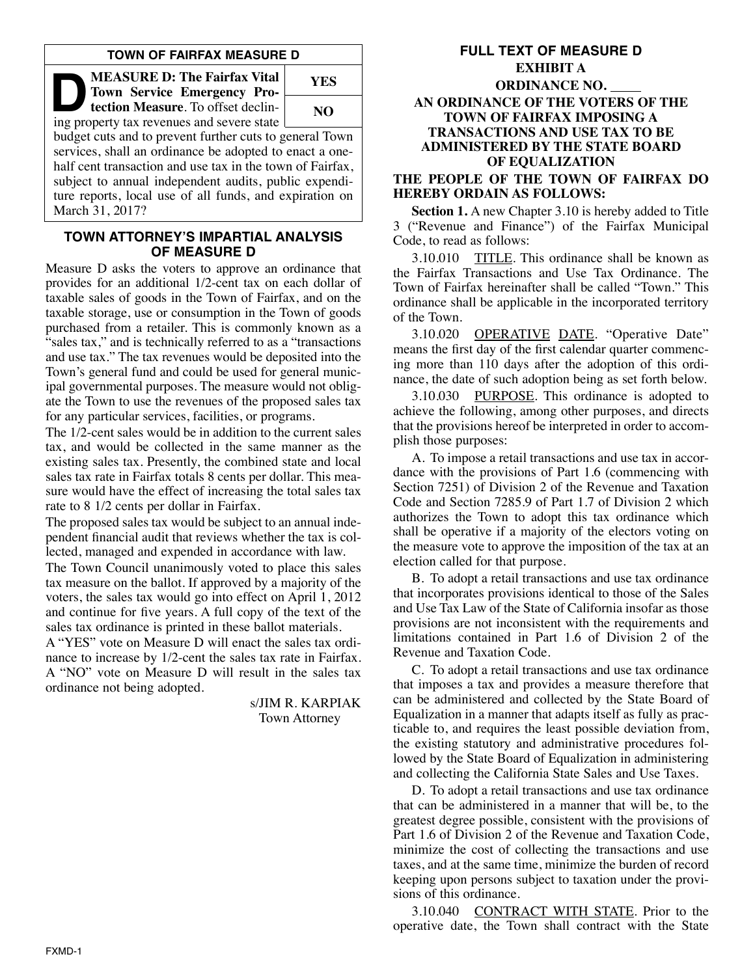## **TOWN OF FAIRFAX MEASURE D**

**DEASURE D: The Fairfax Vital<br>
Town Service Emergency Protection Measure.** To offset declining<br>
ing property tax revenues and severe state **Town Service Emergency Protec tion Measure**. To offset declin-

ing property tax revenues and severe state



budget cuts and to prevent further cuts to general Town services, shall an ordinance be adopted to enact a onehalf cent transaction and use tax in the town of Fairfax, subject to annual independent audits, public expenditure reports, local use of all funds, and expiration on March 31, 2017?

## **TOWN ATTORNEY'S IMPARTIAL ANALYSIS OF MEASURE D**

Measure D asks the voters to approve an ordinance that provides for an additional 1/2-cent tax on each dollar of taxable sales of goods in the Town of Fairfax, and on the taxable storage, use or consumption in the Town of goods purchased from a retailer. This is commonly known as a "sales tax," and is technically referred to as a "transactions and use tax." The tax revenues would be deposited into the Town's general fund and could be used for general municipal governmental purposes. The measure would not obligate the Town to use the revenues of the proposed sales tax for any particular services, facilities, or programs.

The 1/2-cent sales would be in addition to the current sales tax, and would be collected in the same manner as the existing sales tax. Presently, the combined state and local sales tax rate in Fairfax totals 8 cents per dollar. This measure would have the effect of increasing the total sales tax rate to 8 1/2 cents per dollar in Fairfax.

The proposed sales tax would be subject to an annual independent financial audit that reviews whether the tax is collected, managed and expended in accordance with law.

The Town Council unanimously voted to place this sales tax measure on the ballot. If approved by a majority of the voters, the sales tax would go into effect on April 1, 2012 and continue for five years. A full copy of the text of the sales tax ordinance is printed in these ballot materials.

A "YES" vote on Measure D will enact the sales tax ordinance to increase by 1/2-cent the sales tax rate in Fairfax. A "NO" vote on Measure D will result in the sales tax ordinance not being adopted.

> s/JIM R. KARPIAK Town Attorney

# **FULL TEXT OF MEASURE D EXHIBIT A ORDINANCE NO. AN ORDINANCE OF THE VOTERS OF THE TOWN OF FAIRFAX IMPOSING A TRANSACTIONS AND USE TAX TO BE ADMINISTERED BY THE STATE BOARD OF EQUALIZATION**

### **THE PEOPLE OF THE TOWN OF FAIRFAX DO HEREBY ORDAIN AS FOLLOWS:**

**Section 1.** A new Chapter 3.10 is hereby added to Title 3 ("Revenue and Finance") of the Fairfax Municipal Code, to read as follows:

3.10.010 TITLE. This ordinance shall be known as the Fairfax Transactions and Use Tax Ordinance. The Town of Fairfax hereinafter shall be called "Town." This ordinance shall be applicable in the incorporated territory of the Town.

3.10.020 OPERATIVE DATE. "Operative Date" means the first day of the first calendar quarter commencing more than 110 days after the adoption of this ordinance, the date of such adoption being as set forth below.

3.10.030 PURPOSE. This ordinance is adopted to achieve the following, among other purposes, and directs that the provisions hereof be interpreted in order to accomplish those purposes:

A. To impose a retail transactions and use tax in accordance with the provisions of Part 1.6 (commencing with Section 7251) of Division 2 of the Revenue and Taxation Code and Section 7285.9 of Part 1.7 of Division 2 which authorizes the Town to adopt this tax ordinance which shall be operative if a majority of the electors voting on the measure vote to approve the imposition of the tax at an election called for that purpose.

B. To adopt a retail transactions and use tax ordinance that incorporates provisions identical to those of the Sales and Use Tax Law of the State of California insofar as those provisions are not inconsistent with the requirements and limitations contained in Part 1.6 of Division 2 of the Revenue and Taxation Code.

C. To adopt a retail transactions and use tax ordinance that imposes a tax and provides a measure therefore that can be administered and collected by the State Board of Equalization in a manner that adapts itself as fully as practicable to, and requires the least possible deviation from, the existing statutory and administrative procedures followed by the State Board of Equalization in administering and collecting the California State Sales and Use Taxes.

D. To adopt a retail transactions and use tax ordinance that can be administered in a manner that will be, to the greatest degree possible, consistent with the provisions of Part 1.6 of Division 2 of the Revenue and Taxation Code, minimize the cost of collecting the transactions and use taxes, and at the same time, minimize the burden of record keeping upon persons subject to taxation under the provisions of this ordinance.

3.10.040 CONTRACT WITH STATE. Prior to the operative date, the Town shall contract with the State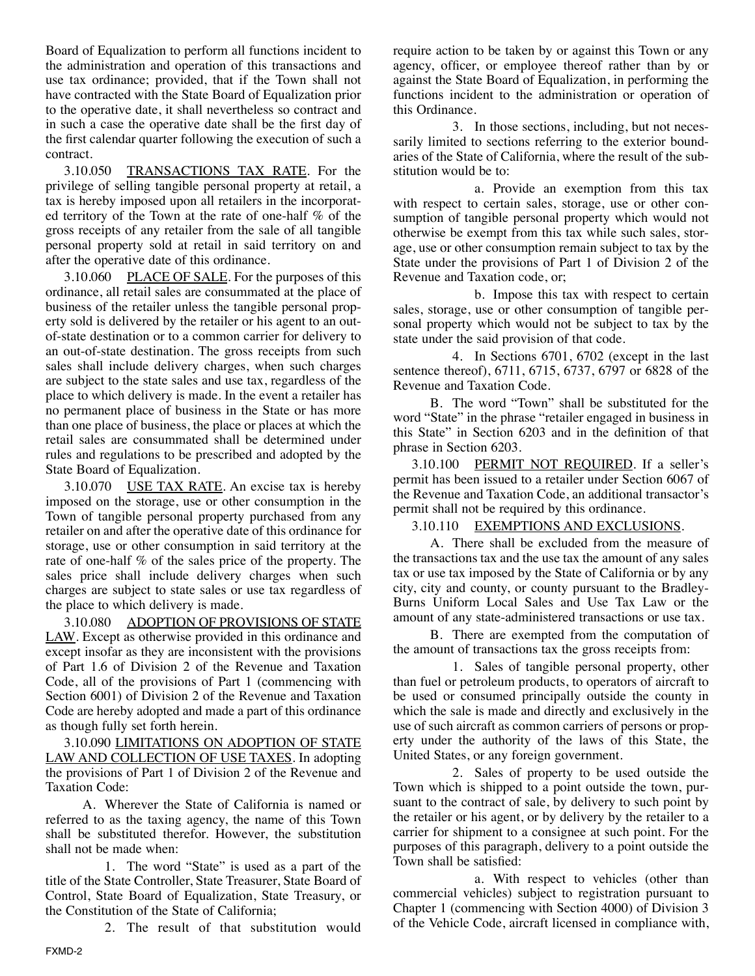Board of Equalization to perform all functions incident to the administration and operation of this transactions and use tax ordinance; provided, that if the Town shall not have contracted with the State Board of Equalization prior to the operative date, it shall nevertheless so contract and in such a case the operative date shall be the first day of the first calendar quarter following the execution of such a contract.

3.10.050 TRANSACTIONS TAX RATE. For the privilege of selling tangible personal property at retail, a tax is hereby imposed upon all retailers in the incorporated territory of the Town at the rate of one-half % of the gross receipts of any retailer from the sale of all tangible personal property sold at retail in said territory on and after the operative date of this ordinance.

3.10.060 PLACE OF SALE. For the purposes of this ordinance, all retail sales are consummated at the place of business of the retailer unless the tangible personal property sold is delivered by the retailer or his agent to an outof-state destination or to a common carrier for delivery to an out-of-state destination. The gross receipts from such sales shall include delivery charges, when such charges are subject to the state sales and use tax, regardless of the place to which delivery is made. In the event a retailer has no permanent place of business in the State or has more than one place of business, the place or places at which the retail sales are consummated shall be determined under rules and regulations to be prescribed and adopted by the State Board of Equalization.

3.10.070 USE TAX RATE. An excise tax is hereby imposed on the storage, use or other consumption in the Town of tangible personal property purchased from any retailer on and after the operative date of this ordinance for storage, use or other consumption in said territory at the rate of one-half % of the sales price of the property. The sales price shall include delivery charges when such charges are subject to state sales or use tax regardless of the place to which delivery is made.

3.10.080 ADOPTION OF PROVISIONS OF STATE LAW. Except as otherwise provided in this ordinance and except insofar as they are inconsistent with the provisions of Part 1.6 of Division 2 of the Revenue and Taxation Code, all of the provisions of Part 1 (commencing with Section 6001) of Division 2 of the Revenue and Taxation Code are hereby adopted and made a part of this ordinance as though fully set forth herein.

3.10.090 LIMITATIONS ON ADOPTION OF STATE LAW AND COLLECTION OF USE TAXES. In adopting the provisions of Part 1 of Division 2 of the Revenue and Taxation Code:

A. Wherever the State of California is named or referred to as the taxing agency, the name of this Town shall be substituted therefor. However, the substitution shall not be made when:

1. The word "State" is used as a part of the title of the State Controller, State Treasurer, State Board of Control, State Board of Equalization, State Treasury, or the Constitution of the State of California;

2. The result of that substitution would

require action to be taken by or against this Town or any agency, officer, or employee thereof rather than by or against the State Board of Equalization, in performing the functions incident to the administration or operation of this Ordinance.

3. In those sections, including, but not necessarily limited to sections referring to the exterior boundaries of the State of California, where the result of the substitution would be to:

a. Provide an exemption from this tax with respect to certain sales, storage, use or other consumption of tangible personal property which would not otherwise be exempt from this tax while such sales, storage, use or other consumption remain subject to tax by the State under the provisions of Part 1 of Division 2 of the Revenue and Taxation code, or;

b. Impose this tax with respect to certain sales, storage, use or other consumption of tangible personal property which would not be subject to tax by the state under the said provision of that code.

4. In Sections 6701, 6702 (except in the last sentence thereof), 6711, 6715, 6737, 6797 or 6828 of the Revenue and Taxation Code.

B. The word "Town" shall be substituted for the word "State" in the phrase "retailer engaged in business in this State" in Section 6203 and in the definition of that phrase in Section 6203.

3.10.100 PERMIT NOT REQUIRED. If a seller's permit has been issued to a retailer under Section 6067 of the Revenue and Taxation Code, an additional transactor's permit shall not be required by this ordinance.

## 3.10.110 EXEMPTIONS AND EXCLUSIONS.

A. There shall be excluded from the measure of the transactions tax and the use tax the amount of any sales tax or use tax imposed by the State of California or by any city, city and county, or county pursuant to the Bradley-Burns Uniform Local Sales and Use Tax Law or the amount of any state-administered transactions or use tax.

B. There are exempted from the computation of the amount of transactions tax the gross receipts from:

1. Sales of tangible personal property, other than fuel or petroleum products, to operators of aircraft to be used or consumed principally outside the county in which the sale is made and directly and exclusively in the use of such aircraft as common carriers of persons or property under the authority of the laws of this State, the United States, or any foreign government.

2. Sales of property to be used outside the Town which is shipped to a point outside the town, pursuant to the contract of sale, by delivery to such point by the retailer or his agent, or by delivery by the retailer to a carrier for shipment to a consignee at such point. For the purposes of this paragraph, delivery to a point outside the Town shall be satisfied:

a. With respect to vehicles (other than commercial vehicles) subject to registration pursuant to Chapter 1 (commencing with Section 4000) of Division 3 of the Vehicle Code, aircraft licensed in compliance with,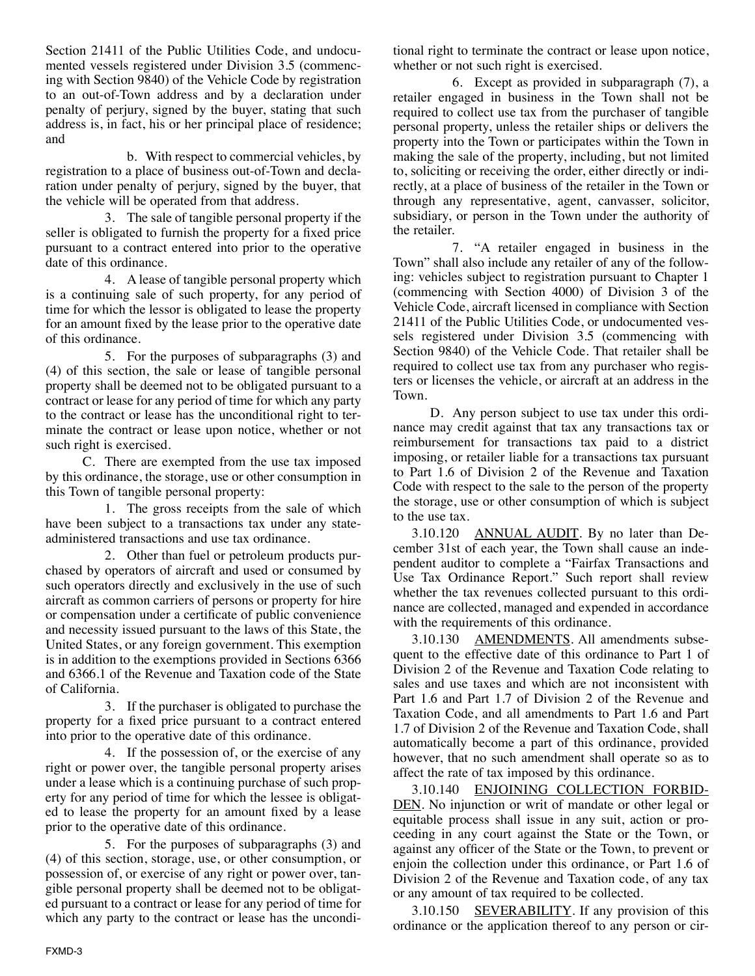Section 21411 of the Public Utilities Code, and undocumented vessels registered under Division 3.5 (commencing with Section 9840) of the Vehicle Code by registration to an out-of-Town address and by a declaration under penalty of perjury, signed by the buyer, stating that such address is, in fact, his or her principal place of residence; and

b. With respect to commercial vehicles, by registration to a place of business out-of-Town and declaration under penalty of perjury, signed by the buyer, that the vehicle will be operated from that address.

3. The sale of tangible personal property if the seller is obligated to furnish the property for a fixed price pursuant to a contract entered into prior to the operative date of this ordinance.

4. A lease of tangible personal property which is a continuing sale of such property, for any period of time for which the lessor is obligated to lease the property for an amount fixed by the lease prior to the operative date of this ordinance.

5. For the purposes of subparagraphs (3) and (4) of this section, the sale or lease of tangible personal property shall be deemed not to be obligated pursuant to a contract or lease for any period of time for which any party to the contract or lease has the unconditional right to terminate the contract or lease upon notice, whether or not such right is exercised.

C. There are exempted from the use tax imposed by this ordinance, the storage, use or other consumption in this Town of tangible personal property:

1. The gross receipts from the sale of which have been subject to a transactions tax under any stateadministered transactions and use tax ordinance.

2. Other than fuel or petroleum products purchased by operators of aircraft and used or consumed by such operators directly and exclusively in the use of such aircraft as common carriers of persons or property for hire or compensation under a certificate of public convenience and necessity issued pursuant to the laws of this State, the United States, or any foreign government. This exemption is in addition to the exemptions provided in Sections 6366 and 6366.1 of the Revenue and Taxation code of the State of California.

3. If the purchaser is obligated to purchase the property for a fixed price pursuant to a contract entered into prior to the operative date of this ordinance.

4. If the possession of, or the exercise of any right or power over, the tangible personal property arises under a lease which is a continuing purchase of such property for any period of time for which the lessee is obligated to lease the property for an amount fixed by a lease prior to the operative date of this ordinance.

5. For the purposes of subparagraphs (3) and (4) of this section, storage, use, or other consumption, or possession of, or exercise of any right or power over, tangible personal property shall be deemed not to be obligated pursuant to a contract or lease for any period of time for which any party to the contract or lease has the unconditional right to terminate the contract or lease upon notice, whether or not such right is exercised.

6. Except as provided in subparagraph (7), a retailer engaged in business in the Town shall not be required to collect use tax from the purchaser of tangible personal property, unless the retailer ships or delivers the property into the Town or participates within the Town in making the sale of the property, including, but not limited to, soliciting or receiving the order, either directly or indirectly, at a place of business of the retailer in the Town or through any representative, agent, canvasser, solicitor, subsidiary, or person in the Town under the authority of the retailer.

7. "A retailer engaged in business in the Town" shall also include any retailer of any of the following: vehicles subject to registration pursuant to Chapter 1 (commencing with Section 4000) of Division 3 of the Vehicle Code, aircraft licensed in compliance with Section 21411 of the Public Utilities Code, or undocumented vessels registered under Division 3.5 (commencing with Section 9840) of the Vehicle Code. That retailer shall be required to collect use tax from any purchaser who registers or licenses the vehicle, or aircraft at an address in the Town.

D. Any person subject to use tax under this ordinance may credit against that tax any transactions tax or reimbursement for transactions tax paid to a district imposing, or retailer liable for a transactions tax pursuant to Part 1.6 of Division 2 of the Revenue and Taxation Code with respect to the sale to the person of the property the storage, use or other consumption of which is subject to the use tax.

3.10.120 ANNUAL AUDIT. By no later than Decem ber 31st of each year, the Town shall cause an independent auditor to complete a "Fairfax Transactions and Use Tax Ordinance Report." Such report shall review whether the tax revenues collected pursuant to this ordinance are collected, managed and expended in accordance with the requirements of this ordinance.

3.10.130 AMENDMENTS. All amendments subsequent to the effective date of this ordinance to Part 1 of Division 2 of the Revenue and Taxation Code relating to sales and use taxes and which are not inconsistent with Part 1.6 and Part 1.7 of Division 2 of the Revenue and Taxation Code, and all amendments to Part 1.6 and Part 1.7 of Division 2 of the Revenue and Taxation Code, shall automatically become a part of this ordinance, provided however, that no such amendment shall operate so as to affect the rate of tax imposed by this ordinance.

3.10.140 ENJOINING COLLECTION FORBID-DEN. No injunction or writ of mandate or other legal or equitable process shall issue in any suit, action or proceeding in any court against the State or the Town, or against any officer of the State or the Town, to prevent or enjoin the collection under this ordinance, or Part 1.6 of Division 2 of the Revenue and Taxation code, of any tax or any amount of tax required to be collected.

3.10.150 SEVERABILITY. If any provision of this ordinance or the application thereof to any person or cir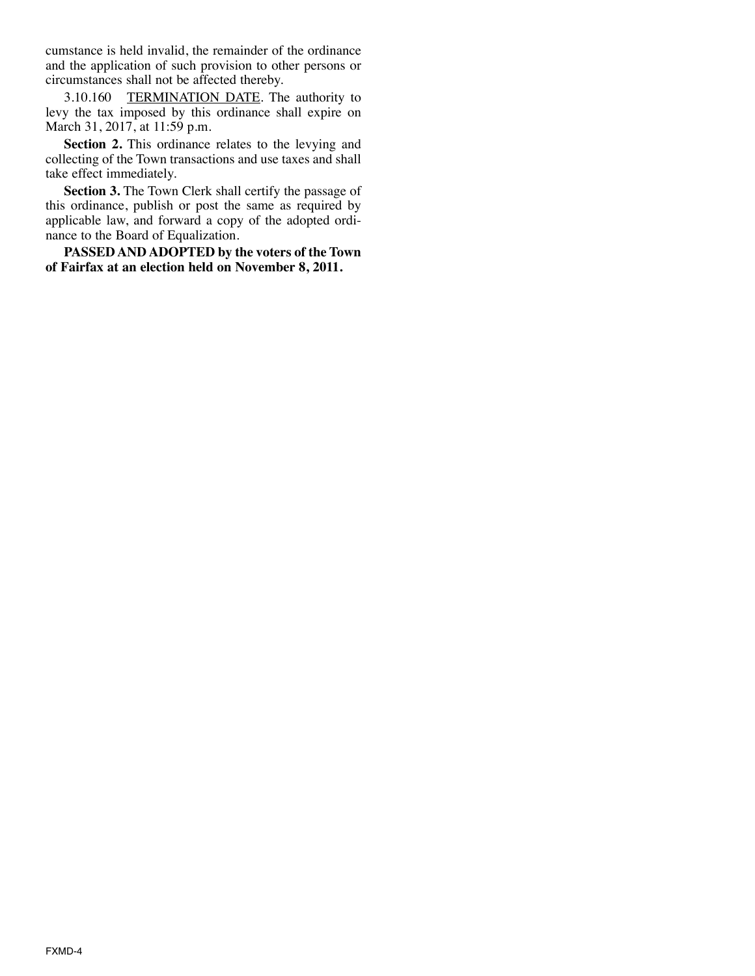cumstance is held invalid, the remainder of the ordinance and the application of such provision to other persons or circumstances shall not be affected thereby.

3.10.160 TERMINATION DATE. The authority to levy the tax imposed by this ordinance shall expire on March 31, 2017, at 11:59 p.m.

**Section 2.** This ordinance relates to the levying and collecting of the Town transactions and use taxes and shall take effect immediately.

**Section 3.** The Town Clerk shall certify the passage of this ordinance, publish or post the same as required by applicable law, and forward a copy of the adopted ordinance to the Board of Equalization.

**PASSED AND ADOPTED by the voters of the Town of Fairfax at an election held on November 8, 2011.**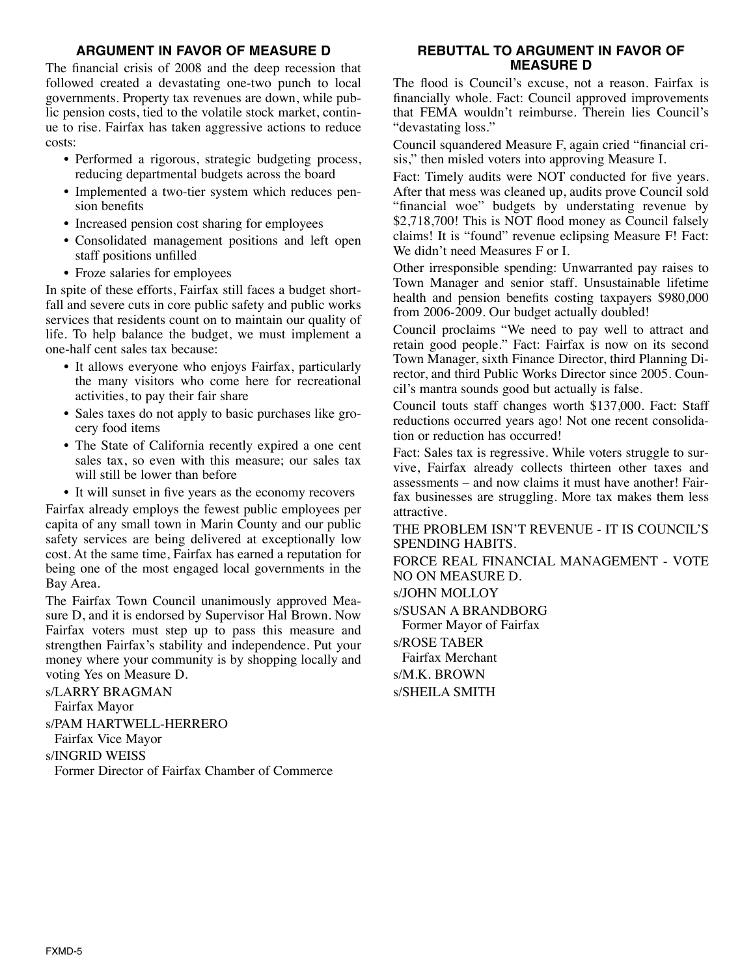# **ARGUMENT IN FAVOR OF MEASURE D**

The financial crisis of 2008 and the deep recession that followed created a devastating one-two punch to local governments. Property tax revenues are down, while public pension costs, tied to the volatile stock market, continue to rise. Fairfax has taken aggressive actions to reduce costs:

- Performed a rigorous, strategic budgeting process, reducing departmental budgets across the board
- Implemented a two-tier system which reduces pension benefits
- Increased pension cost sharing for employees
- Consolidated management positions and left open staff positions unfilled
- Froze salaries for employees

In spite of these efforts, Fairfax still faces a budget shortfall and severe cuts in core public safety and public works services that residents count on to maintain our quality of life. To help balance the budget, we must implement a one-half cent sales tax because:

- It allows everyone who enjoys Fairfax, particularly the many visitors who come here for recreational activities, to pay their fair share
- Sales taxes do not apply to basic purchases like grocery food items
- The State of California recently expired a one cent sales tax, so even with this measure; our sales tax will still be lower than before
- It will sunset in five years as the economy recovers

Fairfax already employs the fewest public employees per capita of any small town in Marin County and our public safety services are being delivered at exceptionally low cost. At the same time, Fairfax has earned a reputation for being one of the most engaged local governments in the Bay Area.

The Fairfax Town Council unanimously approved Measure D, and it is endorsed by Supervisor Hal Brown. Now Fairfax voters must step up to pass this measure and strengthen Fairfax's stability and independence. Put your money where your community is by shopping locally and voting Yes on Measure D.

s/LARRY BRAGMAN Fairfax Mayor s/PAM HARTWELL-HERRERO Fairfax Vice Mayor s/INGRID WEISS Former Director of Fairfax Chamber of Commerce

## **REBUTTAL TO ARGUMENT IN FAVOR OF MEASURE D**

The flood is Council's excuse, not a reason. Fairfax is financially whole. Fact: Council approved improvements that FEMA wouldn't reimburse. Therein lies Council's "devastating loss."

Council squandered Measure F, again cried "financial crisis," then misled voters into approving Measure I.

Fact: Timely audits were NOT conducted for five years. After that mess was cleaned up, audits prove Council sold "financial woe" budgets by understating revenue by \$2,718,700! This is NOT flood money as Council falsely claims! It is "found" revenue eclipsing Measure F! Fact: We didn't need Measures F or I.

Other irresponsible spending: Unwarranted pay raises to Town Manager and senior staff. Unsustainable lifetime health and pension benefits costing taxpayers \$980,000 from 2006-2009. Our budget actually doubled!

Council proclaims "We need to pay well to attract and retain good people." Fact: Fairfax is now on its second Town Manager, sixth Finance Director, third Planning Director, and third Public Works Director since 2005. Council's mantra sounds good but actually is false.

Council touts staff changes worth \$137,000. Fact: Staff reductions occurred years ago! Not one recent consolidation or reduction has occurred!

Fact: Sales tax is regressive. While voters struggle to survive, Fairfax already collects thirteen other taxes and assessments – and now claims it must have another! Fair fax businesses are struggling. More tax makes them less attractive.

THE PROBLEM ISN'T REVENUE - IT IS COUNCIL'S SPENDING HABITS.

FORCE REAL FINANCIAL MANAGEMENT - VOTE NO ON MEASURE D.

s/JOHN MOLLOY

s/SUSAN A BRANDBORG

Former Mayor of Fairfax

s/ROSE TABER Fairfax Merchant s/M.K. BROWN

s/SHEILA SMITH